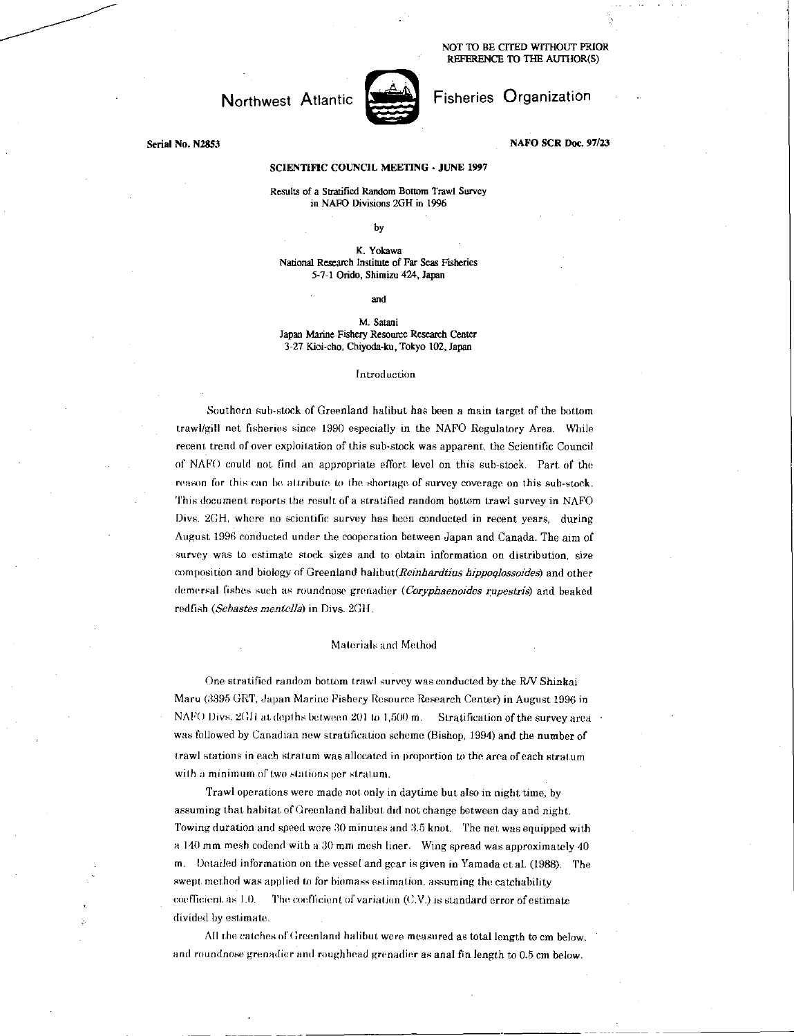NOT TO BE CITED WITHOUT PRIOR REFERENCE TO THE AUTHOR(S)

# Northwest Atlantic



## Fisheries Organization

Serial No. N2853

### NAFO SCR Doc. 97/23

### SCIENTIFIC COUNCIL MEETING - JUNE 1997

Results of a Stratified Random Bottom Trawl Survey in NAFO Divisions 2611 in 1996

by

K. Yokawa National Research Institute of Far Seas Fisheries 5-71 Orido, Shimizu 424, Japan

and

#### M. Satani Japan Marine Fishery Resource Research Center 3-27 Kioi-cho, Chiyoda-ku, Tokyo 102, Japan

#### Introduction

Southern sub-stock of Greenland halibut has been a main target of the bottom trawl/gill net fisheries since 1990 especially in the NAFO Regulatory Area. While recent trend of over exploitation of this sub-stock was apparent, the Scientific Council of NAPO could not find an appropriate effort level on this sub-stock. Part of the reason for this can be attribute to the shortage of survey coverage on this sub-stock. This document reports the result of a stratified random bottom trawl survey in NAFO Divs. 2GH, where no scientific survey has been conducted in recent years, during August 1996 conducted under the cooperation between Japan and Canada. The aim of survey was to estimate stock sizes and to obtain information on distribution, size composition and biology of Greenland *halibut(Reinhardtius hippoelossoides)* and other demersal fishes such as roundnose grenadier *(Coryphaenoides rupestris)* and beaked redfish *(Sebastes mentella)* in Divs. 2GH.

#### Materials and Method

One stratified random bottom trawl survey was conducted by the R/V Shinkai Maru (3395 GRT, Japan Marine Fishery Resource Research Center) in August 1996 in NAFO Divs. 2GH at depths between 201 to 1,500 m. Stratification of the survey area was followed by Canadian new stratification scheme (Bishop, 1994) and the number of trawl stations in each stratum was allocated in proportion to the area of each stratum with a minimum of two stations per stratum.

Trawl operations were made not only in daytime but also in night time, by assuming that habitat of Greenland halibut did not change between day and night. Towing duration and speed were 30 minutes and 3.5 knot. The net. was equipped with a 140 mm mesh codend with a 30 mm mesh liner. Wing spread was approximately 40 m. Detailed information on the vessel and gear is given in Yamada et al. (1988). The swept. method was applied to for biomass estimation, assuming the catchability coefficient. as  $1.0.$  The coefficient of variation  $(C.V.)$  is standard error of estimate divided by estimate.

All the catches of Greenland halibut were measured as total length to cm below, and roundnose grenadier and roughhead grenadier as anal fin length to 0.5 cm below.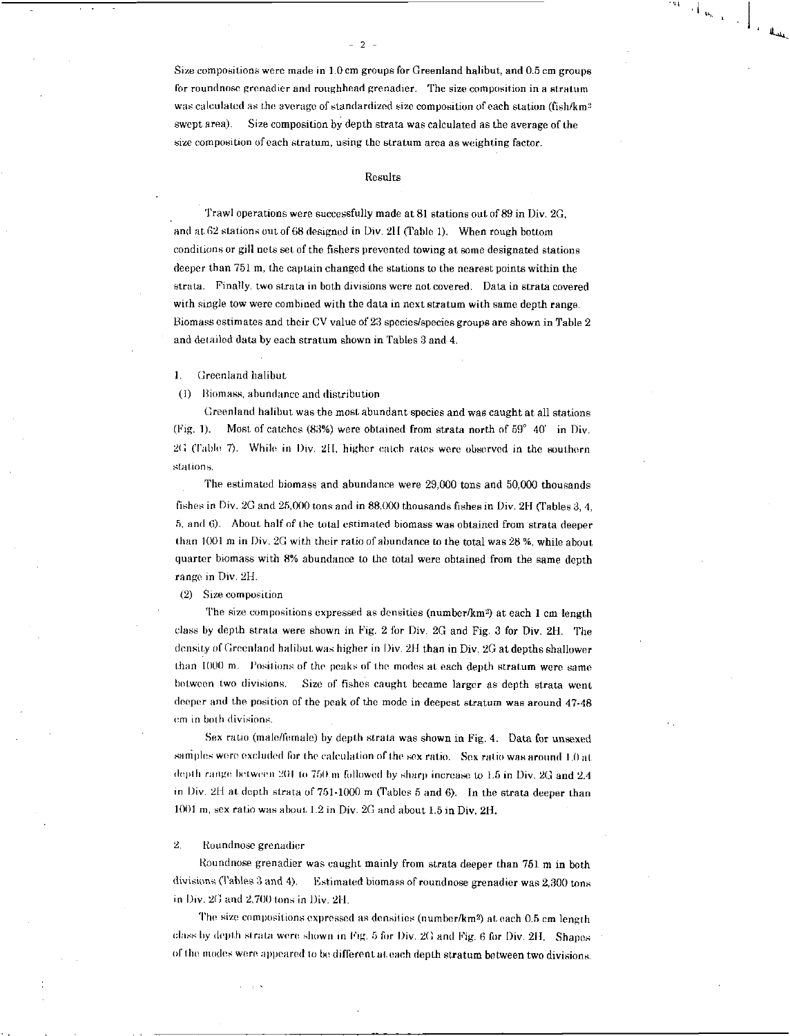Size compositions were made in 1.0 cm groups for Greenland halibut, and 0.5 cm groups for roundnose grenadier and roughhead grenadier. The size composition in a stratum was calculated as the average of standardized size composition *of* each station (fish/km<sup>2</sup> swept area). Size composition by depth strata was calculated as the average of the size composition of each stratum, using the stratum area as weighting factor.

 $-2$ 

#### Results

Trawl operations were successfully made at 81 stations out of 89 in Div. 2G, and at 62 stations out of 68 designed in Div. 211 (Table 1). When rough bottom conditions or gill nets set of the fishers prevented towing at some designated stations deeper than 751 m, the captain changed the stations to the nearest points within the strata. Finally, two strata in both divisions were not covered. Data in strata covered with single tow were combined with the data in next stratum with same depth range. Biomass estimates and their CV value of 23 species/species groups are shown in Table 2 and detailed data by each stratum shown in Tables 3 and 4.

1. Greenland halibut

(1) Biomass, abundance and distribution

Greenland halibut was the most abundant species and was caught at all stations (Fig. 1). Most of catches (83%) were obtained from strata north of  $59^{\circ}$  40' in Div. 2f; (Table 7). While in Div. 211, higher catch rates were observed in the southern stations.

The estimated biomass and abundance were 29,000 tons and 50,000 thousands fishes in Div. 2G and 25,000 tons and in 88,000 thousands fishes in Div. 2H (Tables 3, 4, 5, and 6). About half of the total estimated biomass was obtained from strata deeper than 1001 m in Div. 20 with their ratio of abundance to the total was 28 %, while about quarter biomass with 8% abundance to the total were obtained from the same depth range in Div. 2H.

#### (2) Size composition

The size compositions expressed as densities (number/km<sup>2</sup>) at each 1 cm length class by depth strata were shown in Fig. 2 for Div. 2G and Fig. 3 for Div. 2H. The density *of* Greenland halibut was higher in Div. 211 than in Div. 2G at depths shallower than 1000 m. Positions of the peaks of the modes at each depth stratum were same between two divisions. Size of fishes caught became larger as depth strata went deeper and the position of the peak *of* the mode in deepest stratum was around 47-48 cm in both divisions.

Sex ratio (male/female) by depth strata was shown in Fig. 4. Data for unsexed samples were excluded for the calculation of the sex ratio. Sex ratio was around 1.0 at. depth range between 201 to 750 m followed by sharp increase to 1.5 in Div. 2G and 2.4 in Div. 2H at depth strata of  $751-1000$  m (Tables 5 and 6). In the strata deeper than 1001 m, sex ratio was about 1.2 in Div.  $2G$  and about 1.5 in Div.  $2H$ .

#### 2, Roundnose grenadier

Roundnose grenadier was caught mainly from strata deeper than 751 m in both divisions (Tables 3 and 4). Estimated biomass of roundnose grenadier was 2,300 tons in Div. 2G and 2,700 tons in Div. 2H.

The size compositions expressed as densities (number/km<sup>2</sup>) at each 0.5 cm length class by depth strata were shown in Fig. 5 for Div.  $2G$  and Fig. 6 for Div.  $2H$ . Shapes of the modes were appeared to be different at. each depth stratum between two divisions.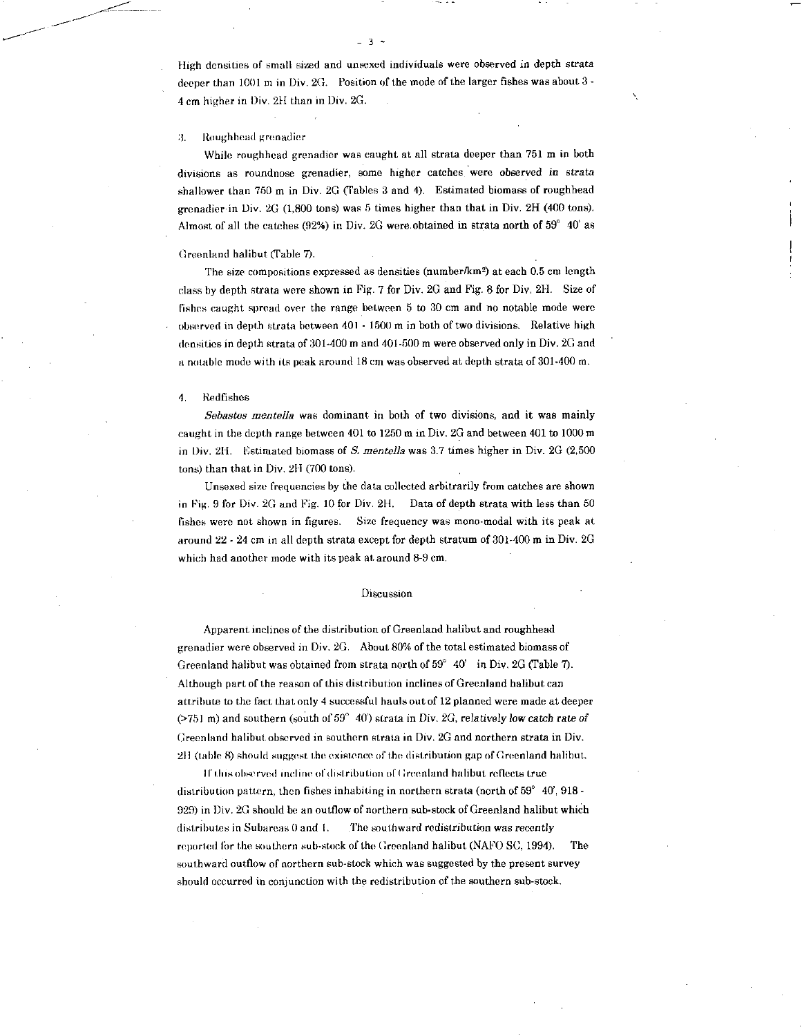High densities of small sized and unsexed individuals were observed in depth strata deeper than 1001 m in Div. 2G. Position of the mode of the larger fishes was about 3 - 4 cm higher in Div. 21I than in Div. 2G.

3

#### :1. Rough head grenadier

While roughhead grenadier was caught at all strata deeper than 751 m in both divisions as roundnose grenadier, some higher catches were observed *in strata*  shallower than 750 m in Div. 2G (fables 3 and 4). Estimated biomass of roughhead grenadier in Div. 2G (1,800 tons) was 5 times higher than that in Div. 2H (400 tons). Almost of all the catches (92%) in Div. 2G were obtained in strata north of  $59^{\circ}$  40' as

#### Greenland halibut (Table 7).

The size compositions expressed as densities (number/km<sup>2</sup>) at each 0.5 cm length class by depth strata were shown in Fig. 7 for Div. 2G and Fig. 8 for Div. 2H. Size of fishes caught spread over the range between 5 to 30 cm and no notable mode were observed in depth strata between 401 - 1500 m in both of two divisions. Relative high densities in depth strata of 301-400 m and 401-500 m were observed only in Div. 2G and a notable mode with its peak around 18 cm was observed at depth strata of 301-400 m.

#### 4. Redfishes

*Sebastes mentella* was dominant in both of two divisions, and it was mainly caught in the depth range between 401 to 1250 m in Div. 2G and between 401 to 1000 m in Div. 211. Estimated biomass of *S. mentella* was 3.7 times higher in Div. 2G (2,500 tons) than that in Div. 2H (700 tons).

Unsexed size frequencies by the data collected arbitrarily from catches are shown in Fig. 9 for Div. 2G and Fig. 10 for Div. 2H. Data of depth strata with less than 50 fishes were not shown in figures. Size frequency was mono-modal with its peak at around 22 - 24 cm in all depth strata except for depth stratum of 301-400 m in Div. 2G which had another mode with its peak at around 8-9 cm.

#### Discussion

Apparent inclines of the distribution of Greenland halibut and roughhead grenadier were observed in Div. 2G. About 80% of the total estimated biomass of Greenland halibut was obtained from strata north of  $59^{\circ}$  40' in Div. 2G (Table 7). Although part of the reason of this distribution inclines of Greenland halibut can attribute to the fact that only 4 successful hauls out of 12 planned were made at deeper ( $>751$  m) and southern (south of  $59^{\circ}$  40') strata in Div. 2G, relatively low catch rate of Greenland halibut, observed in southern strata in Div. 2G and northern strata in Div. 211 (table 8) should suggest. the existence of the distribution gap of Greenland halibut.

If this observed incline of distribution of Greenland halibut reflects true distribution pattern, then fishes inhabiting in northern strata (north of  $59^{\circ}$  40', 918 -929) in Div. 2G should be an outflow of northern sub-stock of Greenland halibut which distributes in Subareas 0 and I. The southward redistribution was *recently*  reported for the southern sub-stock of the Greenland halibut (NAFO SC, 1994). The southward outflow of northern sub-stock which was suggested by the present survey should occurred in conjunction with the redistribution of the southern sub-stock.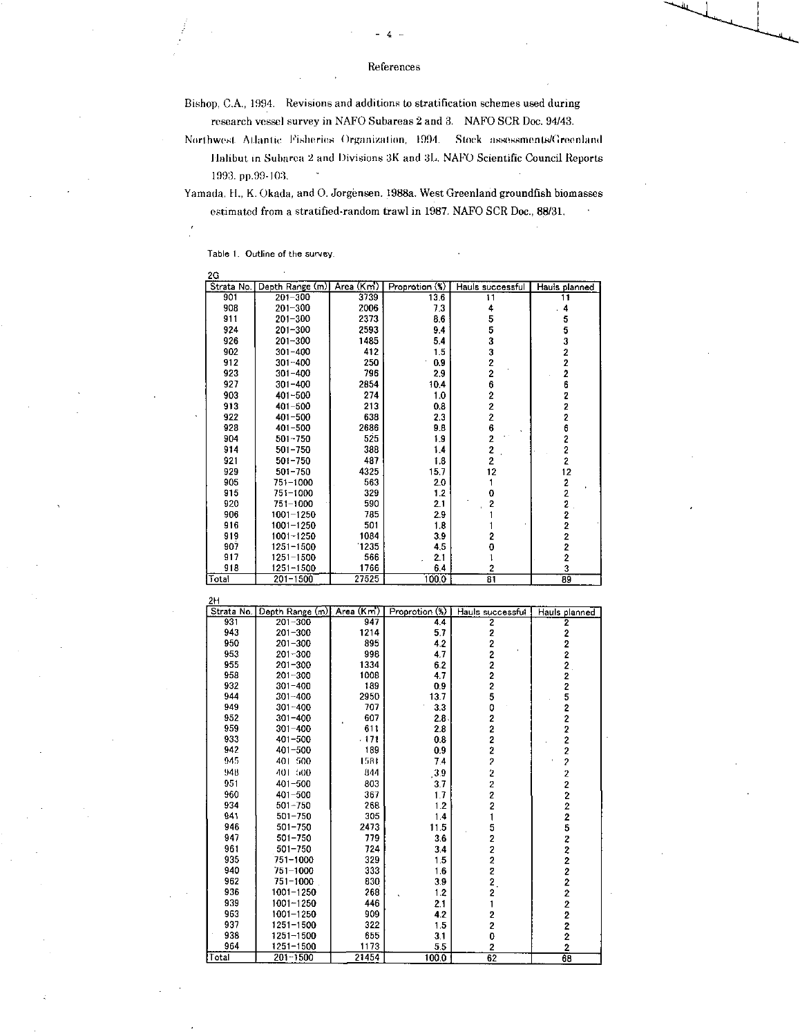- 4

Bishop, C.A., 1994. Revisions and additions to stratification schemes used during research vessel survey in NAFO Subareas 2 and 3. NAFO SCR Doc. 94/43.

Northwest Atlantic Fisheries Organization, 1994. Stock assessments/Greenland halibut in Subarea 2 and Divisions 3K and 3L NAFO Scientific Council Reports 1993. pp.99-103. "

Yamada, H., K. Okada, and 0. Jorgensen. 1988a. West Greenland groundfish biomasses estimated from a stratified-random trawl in 1987. NAFO SCR Doc., 88/31. •

Table 1. Outline of the survey.

| 2G               |                       |               |                |                         |                                            |
|------------------|-----------------------|---------------|----------------|-------------------------|--------------------------------------------|
| Strata No.       | Depth Range (m)       | Area (Km')    | Proprotion (%) | Hauls successful        | Hauis planned                              |
| 901              | 201-300               | 3739          | 13.6           | 11                      | 11                                         |
| 908              | 201-300               | 2006          | 73             | 4                       | . 4                                        |
| 911              | 201-300               | 2373          | 8.6            | 5                       | 5                                          |
| 924              | 201-300               | 2593          | 9.4            | 5                       | 5                                          |
| 926              | 201-300               | 1485          | 5.4            | 3                       | 3                                          |
| 902              | $301 - 400$           | 412           | 1.5            | 3<br>2                  | $\frac{2}{2}$                              |
| 912              | 301-400               | 250           | 0.9            |                         |                                            |
| 923<br>927       | 301-400               | 796<br>2854   | 2.9            | 2<br>6                  |                                            |
| 903              | 301-400               | 274           | 10.4           | 2                       |                                            |
| 913              | 401-500<br>401-500    | 213           | 1.0<br>0.8     | 2                       | 262226                                     |
| 922              | 401-500               | 638           | 2.3            |                         |                                            |
| 928              | 401-500               | 2686          | 98             | $\frac{2}{6}$           |                                            |
| 904              | 501-750               | 525           | 19             | $\overline{2}$          |                                            |
| 914              | $501 - 750$           | 388           | 14             | $\overline{\mathbf{c}}$ | $\frac{2}{2}$                              |
| 921              | 501-750               | 487           | 1.8            | 2                       |                                            |
| 929              | 501-750               | 4325          | 15.7           | 12                      | $\begin{array}{c} 2 \\ 12 \end{array}$     |
| 905              | 751-1000              | 563           | 2.0            | 1                       |                                            |
| 915              | 751-1000              | 329           | 1.2            | 0                       | $\frac{2}{2}$                              |
| 920              | 751-1000              | 590           | 2.1            | $\overline{\mathbf{c}}$ | $\overline{2}$                             |
| 906              | 1001-1250             | 785           | 2.9            | 1                       | $\overline{\mathbf{c}}$                    |
| 916              | 1001-1250             | 501           | 1.8            | 1                       |                                            |
| 919              | 1001-1250             | 1084          | 3.9            | 2                       | $\begin{array}{c} 2 \\ 2 \\ 2 \end{array}$ |
| 907              | 1251-1500             | 1235          | 4,5            | 0                       |                                            |
| 917              | 1251-1500             | 566           | 21             | 1                       | $\overline{\mathbf{c}}$                    |
| 918              | 1251-1500             | 1766          | 64             | 2                       | 3                                          |
| Total            | 201-1500              | 27525         | 1000           | 81                      | 89                                         |
| 2Н<br>Strata No. | Depth Range (m)       | Area (Km)     | Proprotion (%) | Hauls successful        | Hauls planned                              |
| 931              | 201-300               | 947           | 44             | 2                       | 2                                          |
| 943              | 201-300               | 1214          | 5.7            | 2                       |                                            |
| 950              | 201-300               | 895           | 4.2            | 2                       | $\begin{array}{c} 2 \\ 2 \\ 2 \end{array}$ |
| 953              | 201-300               | 998           | 4.7            | 2                       |                                            |
| 955              | 201-300               | 1334          | 6.2            | 2                       |                                            |
| 958              | 201-300               | 1008          | 4.7            | 2                       |                                            |
| 932              | 301-400               | 189           | 09             | 2                       |                                            |
| 944              | 301-400               | 2950          | 13.7           | 5                       |                                            |
| 949<br>952       | 301-400               | 707<br>607    | 33             | 0<br>2                  |                                            |
| 959              | 301-400<br>301–400    | 611           | 2.8<br>2.8     | 2                       |                                            |
| 933              | 401–500               | - 171         | 0.8            | 2                       |                                            |
| 942              | 401–500               | 189           | 0.9            | 2                       |                                            |
| 945              | 401-500               | 1581          | 74             | 2                       |                                            |
| 948              | 401 500               | 844           | 39             | $\overline{\mathbf{c}}$ | 225222222222522                            |
| 951              | 401–500               | 803           | 3.7            | $\overline{\mathbf{c}}$ |                                            |
| 960              | 401–500               | 367           | 1.7            | 2                       |                                            |
| 934              | 501-750               | 268           | 1.2            | 2                       |                                            |
| 941              | 501-750               | 305           | 1.4            | 1                       |                                            |
| 946              | 501-750               | 2473          | 11.5           |                         |                                            |
| 947              | 501-750               | 779           | 36             | 5<br>2                  |                                            |
| 961              | 501-750               | 724           | 34             | 2                       |                                            |
| 935              | 751-1000              | 329           | 1.5            | 2                       | $\overline{\mathbf{c}}$                    |
| 940              | 751-1000              | 313           | 1.6            | 2                       | $\overline{c}$                             |
| 962              | 751-1000              | 830           | 39             | 2.                      |                                            |
| 936              | 1001-1250             | 268           | 12             | 2                       |                                            |
| 939              | 1001-1250             | 446           | 21             | 1                       |                                            |
|                  |                       |               |                |                         |                                            |
| 963              | 1001-1250             | 909           | 42             | 2                       |                                            |
| 937              | 1251-1500             | 322           | 1.5            | 2                       |                                            |
| 938              | 1251-1500             | 655           | 31             | 0                       | 22222                                      |
| 964<br>Total     | 1251-1500<br>201-1500 | 1173<br>21454 | 5.5<br>100.0   | 2<br>62                 | $\overline{2}$<br>68                       |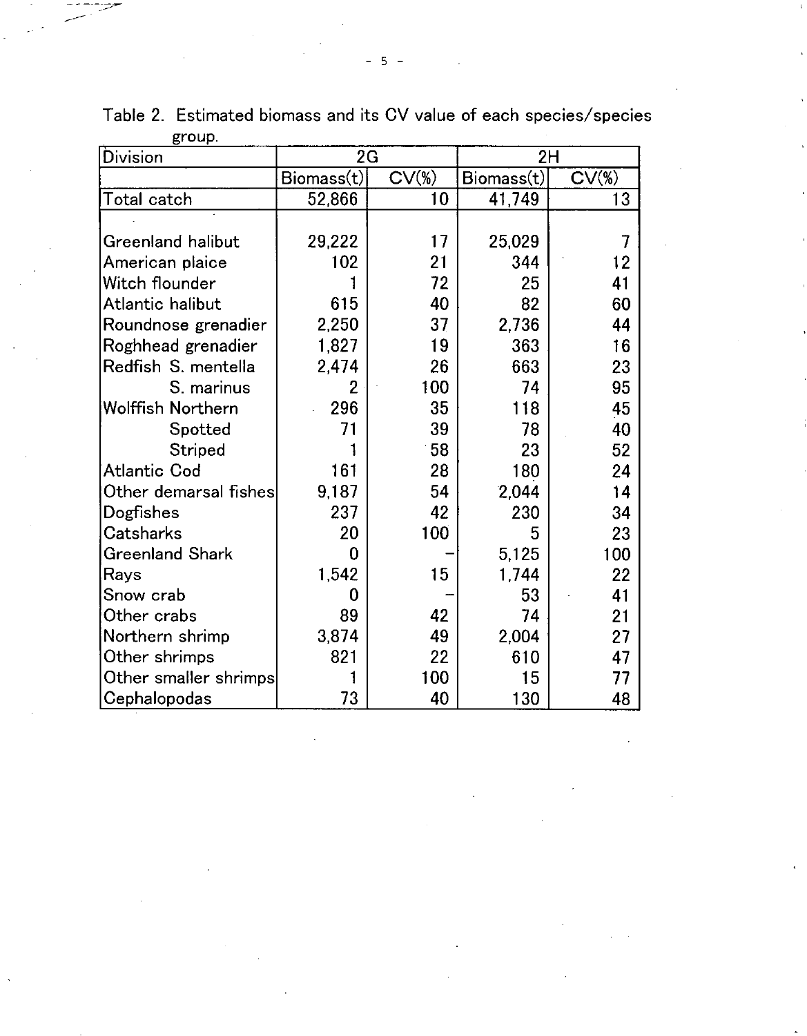| Division                 | 2G                             |                    | 2H         |                    |
|--------------------------|--------------------------------|--------------------|------------|--------------------|
|                          | $\mathsf{Biomass}(\mathsf{t})$ | CV( <sub>W</sub> ) | Biomass(t) | CV( <sub>W</sub> ) |
| Total catch              | 52,866                         | 10                 | 41,749     | 13                 |
|                          |                                |                    |            |                    |
| Greenland halibut        | 29,222                         | 17                 | 25,029     | $\overline{1}$     |
| American plaice          | 102                            | 21                 | 344        | 12                 |
| Witch flounder           |                                | 72                 | 25         | 41                 |
| Atlantic halibut         | 615                            | 40                 | 82         | 60                 |
| Roundnose grenadier      | 2,250                          | 37                 | 2,736      | 44                 |
| Roghhead grenadier       | 1,827                          | 19                 | 363        | 16                 |
| Redfish S. mentella      | 2,474                          | 26                 | 663        | 23                 |
| S. marinus               | 2                              | 100                | 74         | 95                 |
| <b>Wolffish Northern</b> | 296                            | 35                 | 118        | 45                 |
| Spotted                  | 71                             | 39                 | 78         | 40                 |
| Striped                  |                                | 58                 | 23         | 52                 |
| <b>Atlantic Cod</b>      | 161                            | 28                 | 180        | 24                 |
| Other demarsal fishes    | 9,187                          | 54                 | 2,044      | 14                 |
| Dogfishes                | 237                            | 42                 | 230        | 34                 |
| Catsharks                | 20                             | 100 <sup>7</sup>   | 5          | 23                 |
| <b>Greenland Shark</b>   | 0                              |                    | 5,125      | 100                |
| Rays                     | 1,542                          | 15                 | 1,744      | 22                 |
| Snow crab                | 0                              |                    | 53         | 41                 |
| Other crabs              | 89                             | 42                 | 74         | 21                 |
| Northern shrimp          | 3,874                          | 49                 | 2,004      | 27                 |
| Other shrimps            | 821                            | 22                 | 610        | 47                 |
| Other smaller shrimps    |                                | 100                | 15         | 77                 |
| Cephalopodas             | 73                             | 40                 | 130        | 48                 |

Table 2. Estimated biomass and its CV value of each species/species group.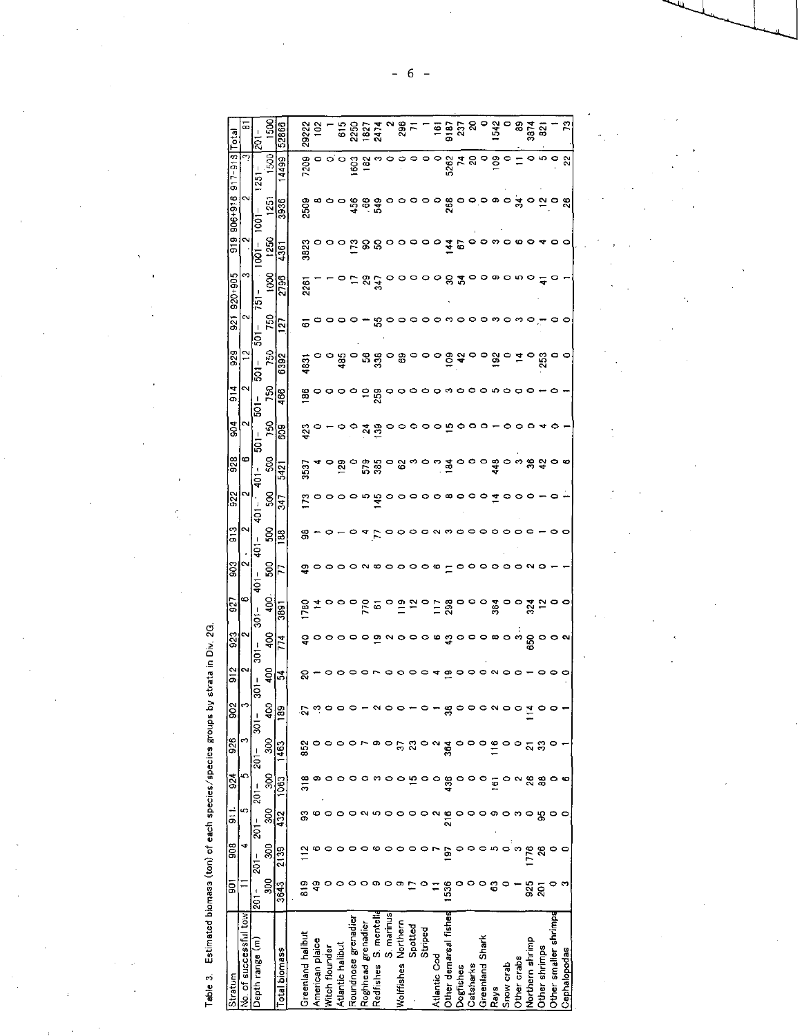Table 3. Estimated biomass (ton) of each species/species groups by strata in Div. 2G.

| Total<br>$917 - 918$ | ∞;<br>ო               | $\frac{1}{201}$<br>1251 | ទី<br>500         | 52866<br>4499 | 29222<br>7209     | ë               | $\circ$        | 515<br>$\circ$ $\circ$ | 250<br>603          | 182<br>182         | 2474<br>∾            | $\circ$    | $\frac{8}{3}$<br>0  | ۰                       | $\circ$ | ۹                   | $\frac{1}{2}$              | 2.<br>5262<br>74            | ন<br>g    |                 | 154<br>109     | $\circ$                   |             | ទី ខ្លី                  |                            | ္ထ<br>۰       |
|----------------------|-----------------------|-------------------------|-------------------|---------------|-------------------|-----------------|----------------|------------------------|---------------------|--------------------|----------------------|------------|---------------------|-------------------------|---------|---------------------|----------------------------|-----------------------------|-----------|-----------------|----------------|---------------------------|-------------|--------------------------|----------------------------|---------------|
| 906+916              | N                     | J<br>1001               | $\frac{5}{1}$     | 3936          | 2508              |                 |                | $\circ$                |                     | 589                |                      | Q          | o                   |                         | $\circ$ | $\circ$             | 268                        | 0                           |           |                 |                | $\circ \circ \circ \circ$ |             | $\frac{1}{3}$ ဝ ္ဂာ ဝ ရွ |                            |               |
| 919                  | ∾                     | $1001 -$                | 1250              | 436           | 3823              |                 |                |                        |                     |                    | ក្ខនន                | $\circ$    | ∘                   |                         | o       | e                   |                            | $rac{4}{5}$                 |           |                 | ო              |                           | ∞           |                          |                            |               |
| $920+905$            | c                     | 751                     | 8001              | 2796          | 2261              |                 |                |                        |                     | $\overline{2}$     | ड़                   |            | っ                   | $\circ$                 |         | $\circ \circ$       |                            | వి చ                        |           |                 |                |                           | တောဂဂ       |                          |                            | 4             |
| $\tilde{3}$          | N                     | $501 -$                 | 750               | 2             | ۰                 |                 |                |                        |                     |                    | ន                    |            |                     |                         |         |                     |                            |                             |           |                 |                |                           |             |                          |                            |               |
| 929                  | ă                     | $\frac{1}{8}$           | 750               | 6392          | 4831              |                 |                | $\ddot{5}$             |                     |                    | $52^{\circ}$         |            | 8                   | 0                       | 0       | P                   |                            | $\frac{3}{5}$ $\frac{3}{5}$ |           |                 | $\frac{3}{2}$  | $\circ$                   |             |                          |                            | 253           |
| $\frac{4}{5}$        | N                     | $-101 -$                | 750               | 466           | 86                | 0               |                |                        |                     |                    | 259                  |            | o                   |                         | $\circ$ |                     |                            |                             |           |                 |                |                           |             |                          |                            |               |
| ទី                   | ∾                     | 5ō                      | 750               | 809           | 423               |                 |                |                        |                     | ম                  | ិ                    |            |                     |                         |         |                     |                            |                             |           |                 |                |                           |             |                          |                            |               |
| 928                  | 6                     | $401 -$                 | SOO               | 5421          | 3537              |                 |                | <u>ဇ</u>               |                     | 579                | 385                  |            | ິວ                  |                         |         |                     | 3                          |                             |           |                 | 448            |                           |             | $33 +$                   |                            |               |
| $\frac{32}{2}$       | ∾                     | $401 -$                 | SO <sub>3</sub>   | 347           |                   |                 |                |                        | 0                   | ယ                  | $\ddot{a}$           |            |                     | o                       |         |                     | $\circ \circ \circ \circ$  |                             | $\circ$   | $\circ$         |                |                           | 0           | 0                        |                            |               |
| $\frac{3}{5}$        | 2                     | $\frac{1}{2}$           | នី                | $\frac{8}{2}$ | g                 |                 |                |                        |                     |                    |                      |            | 0                   | $\circ$ $\circ$ $\circ$ |         |                     | က ၀                        |                             |           |                 |                |                           |             |                          |                            |               |
| 903                  | $\scriptstyle\sim$    | т<br>₫,                 | 500               | 77            | ఞ                 | 0               | $\circ$        | $\circ$                | o                   |                    | N © O O              |            |                     | $\circ$                 |         | ∞                   |                            |                             |           |                 | 0              |                           |             |                          |                            |               |
| 927                  | 6                     | ā                       | Ş                 | 3891          | DBC               |                 |                |                        |                     |                    | ្ថិ ត                |            | $\frac{9}{2}$       |                         |         | Ξ                   | 298                        |                             |           | $\circ$         | 3.34           |                           | $\circ$     | 324                      |                            |               |
| 923                  | ∾                     | $301 -$                 | Ş,                | 774           | ş                 | o               | $\circ$        | $\circ$                | 0                   | $\circ$            | $\sim$ $\sim$        |            | $\circ$             | $\circ$                 |         | $\circ \circ$       | ာ<br>သိပ္မွာ ေရးေပးမွာ ေရး |                             |           |                 |                |                           |             |                          |                            |               |
| $\frac{2}{9}$        | N                     | ន្ត                     | Ş,                | 3,            | ຂ                 |                 |                |                        |                     |                    |                      |            | 0                   | $\circ$                 | 0       | ₹                   | ఇ∙                         | ∘                           | 0         |                 | $\sim$ $\sim$  |                           |             |                          |                            |               |
| 902                  | ా                     | $\frac{1}{3}$           | 8                 | æ             | $\tilde{z}$       | ∾.              |                |                        |                     |                    |                      |            |                     |                         |         |                     |                            |                             |           |                 |                |                           |             |                          |                            |               |
| 926                  | ო                     | $201 -$                 | $\frac{300}{500}$ | 1463          | 852               |                 |                |                        |                     |                    |                      |            | 5                   | ನಿ                      |         | $\sim$              | 364                        |                             |           |                 | $\frac{6}{1}$  |                           |             | $\frac{1}{2}$            |                            |               |
| 924                  | s                     | $201 -$                 | 3QC               | 1083          | 318               |                 |                |                        |                     |                    | ຕ                    | $\circ$    | ۰                   | ம் -                    |         | $\circ$             | 436                        | $\circ$                     | o         | $\circ$         | $\overline{5}$ | ∘                         |             | ి ని ఇ                   |                            |               |
| ٺ<br>آه              | 5                     | $201 -$                 | 300               | 432           | S                 | 6               | $\circ$        | $\circ$                |                     | $\sim$             |                      |            |                     |                         |         | $\boldsymbol{\sim}$ | 216                        | $\circ$                     |           | ဝ ၈             |                | ဓ္                        |             | ∘                        | යි                         |               |
| 908                  |                       | $201 -$                 | 300               | 2139          |                   |                 |                |                        |                     |                    |                      |            |                     |                         |         |                     | 5                          |                             |           | ິ               |                |                           |             | 776                      | $\boldsymbol{\mathcal{Z}}$ |               |
| ā                    |                       | $-102$                  | ន្ល               | 3643          | 819               |                 |                |                        |                     |                    |                      |            |                     |                         |         |                     | 1536                       |                             |           |                 | 3              |                           |             | 925                      | వ్ల                        |               |
| Stratum              | No. of successful tow | Depth range (m)         |                   | Total biomass | Greenland halibut | American plaice | Witch flounder | Atlantic halibut       | Roundnose grenadier | Roghhead grenadier | Redfishes S. mentell | S. marinus | Wolffishes Northern | Spotted                 | Striped | Atlantic Cod        | Other demarsal fisher      | Dogfishes                   | Catsharks | Greenland Shark | Rays           | Snow crab                 | Other crabs | Northern shrimp          |                            | Other shrimps |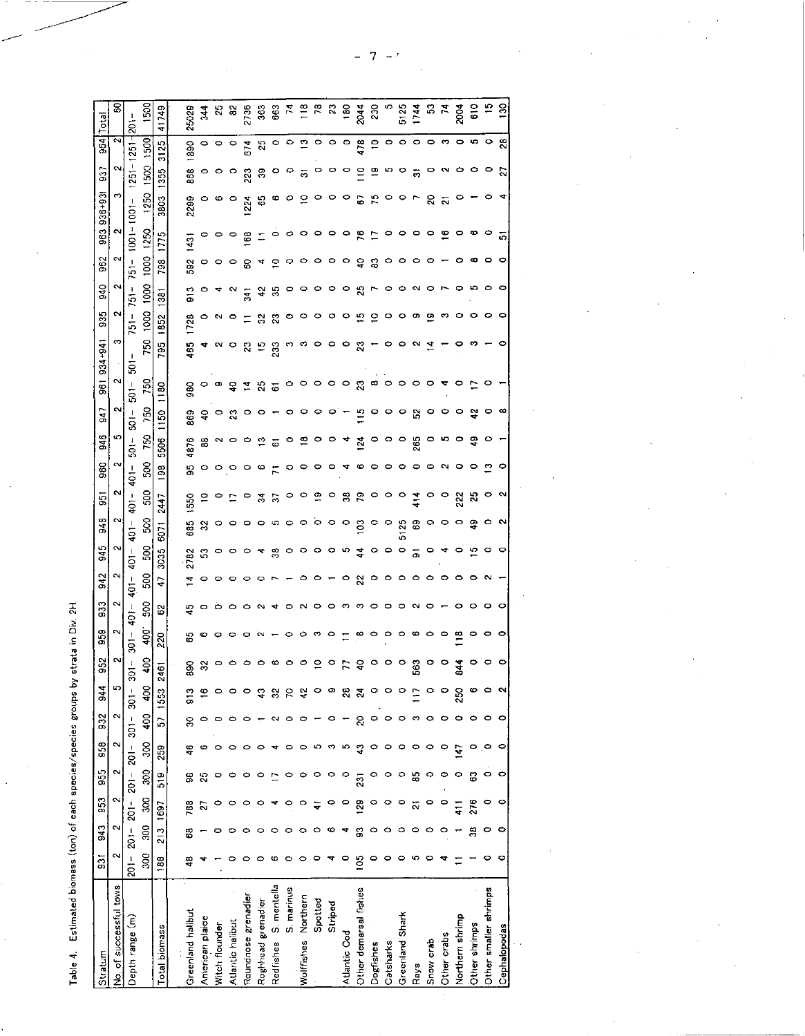Table 4. Estimated biomass (ton) of each species/species groups by strata in Div. 2H.

 $\ddot{\phantom{a}}$ 

|                                                           | <b>S43</b><br>$\overline{5}$ | 953 | 955 | 958 | 932           | 944           | 959<br>952                                   | 833             | 942                         | 945                                        | 948                  | 55                 | 860             | 946               | 547             | $934 + 94$<br>$\overline{5}$   | 935                | S40            | 962     | ges             | $936 + 93$              | 53             | 964                       | Total            |
|-----------------------------------------------------------|------------------------------|-----|-----|-----|---------------|---------------|----------------------------------------------|-----------------|-----------------------------|--------------------------------------------|----------------------|--------------------|-----------------|-------------------|-----------------|--------------------------------|--------------------|----------------|---------|-----------------|-------------------------|----------------|---------------------------|------------------|
| Ņ<br>$\mathbf{\tilde{c}}$<br>Ņ<br>2<br>$\sim$             |                              |     |     |     | N             | က             | CV,                                          | 2               | $\mathbf{\alpha}$<br>$\sim$ |                                            | C.<br>∾              | N                  | N               | ю                 | N               | N                              | ∾                  | $\sim$         | N<br>Ν  | $\sim$          | s                       | N              | Ň                         | ៜ                |
| $201 -$<br>$\frac{1}{2}$<br>$201 -$<br>$201 -$<br>$201 -$ |                              |     |     |     | $301 - 301 -$ |               | $\frac{1}{5}$<br>$\frac{1}{5}$               | $rac{1}{2}$     | $401 -$                     | $\overline{\phantom{a}}$<br>$\overline{5}$ | $\frac{1}{9}$        | I<br>$\frac{1}{2}$ | $rac{1}{9}$     | $\mathbf{l}$<br>š | $\frac{1}{3}$   | $\frac{1}{5}$<br>$\frac{1}{9}$ | 1<br>$\frac{1}{2}$ | $751 -$        | $751 -$ | ia<br>S         | ł<br>ā                  | $\overline{5}$ | $\overline{5}$            | ä                |
| 88<br>300<br>SO <sub>S</sub><br>300<br>80                 |                              |     |     |     | 400           | ă             | $\frac{6}{3}$<br>Ş                           | SOC             | 50Q                         | នី                                         | SO <sub>3</sub>      | SOC                | SO <sub>O</sub> | 750               | 750             | 750<br>750                     | 1000               | 1000           | 1000    | 1250            | 1250                    | $\frac{8}{2}$  | 1500                      | <b>SSC</b>       |
| b.<br>259<br>519<br>1697<br>$\frac{3}{2}$<br>188          |                              |     |     |     |               | 2461<br>1553  | 220                                          | 2               | Ģ                           | 3035                                       | 5071                 | 2447               | 8               | 5506              | 1150            | 785<br><b>180</b>              | 1852               | 33             | 798     | <u>က</u><br>E   | 3803                    | 355            | 3125                      | 41749            |
| S<br>$\frac{6}{4}$<br>3<br>788<br>8<br>48                 |                              |     |     |     |               | ទី            | 8<br>88                                      | 45              | 그                           | 2782                                       | 685                  | 550                | ဌ               | 4876              | 869             | 465<br>980                     | 123                | ္ဘ             | 592     | $\frac{1}{3}$   | 289                     | 868            | 890                       | 25029            |
| ဖ<br>25<br>ನ                                              |                              |     |     |     |               |               | ø<br>32                                      |                 | o                           | S                                          | $\approx$            |                    | o               | 3                 | ş               | o                              | 0                  |                |         | P               |                         |                |                           | $\frac{44}{5}$   |
|                                                           |                              |     |     |     |               |               |                                              |                 |                             |                                            |                      |                    |                 |                   | P               |                                |                    |                |         |                 |                         |                | $\circ$ $\circ$           | 85               |
| O<br>0                                                    |                              |     |     |     |               |               | $\circ$                                      |                 |                             | O                                          | 0                    |                    |                 |                   | ឌ               | ş                              | $\circ$            |                |         | P               | P                       | P              |                           | S,               |
| 0                                                         |                              |     |     |     |               |               | $\bullet$                                    |                 |                             |                                            | 0                    |                    |                 |                   | 0               | 2<br>그                         |                    | $\overline{3}$ | జ       | 3               | 224                     | $\tilde{2}3$   | 674                       | 2730             |
| 0                                                         |                              |     |     |     |               | ទ្            | $\sim$<br>$\circ$                            |                 |                             | ₹                                          | 0                    | 24                 | Φ               | ≌                 | 0               | P<br>25<br>51                  | 8                  | ्र             |         |                 | ္မ                      | ఞ              | 25                        | \$               |
| $\sim$<br>0<br>ယ                                          |                              |     |     |     |               | S,            | ∞                                            |                 |                             | $\frac{8}{3}$                              | ⊕                    | 5                  | д               | 6                 |                 | 233                            | Z                  | ₩              | ⋼       |                 | Ф                       | $\circ$        |                           | 663              |
| $\circ$<br>0                                              |                              |     |     |     |               | Ρ             | $\circ$                                      | $-$ 0 0 m       |                             | P                                          | $\circ$              | $\circ$            | P               | P                 | o               | $\circ$                        | P                  |                |         | P               | Φ                       | $\circ$        | $\circ$ $\circ$           | Η                |
| 0<br>0                                                    |                              |     |     |     |               |               | $\circ$                                      |                 |                             | Φ.                                         | $\circ$              |                    | Q               | $\overline{1}$    | P               | Ø<br>0.                        | o                  |                |         | o               |                         | 동              |                           | $\frac{8}{1}$    |
| ഗ<br>o<br>0                                               |                              |     |     |     |               |               | $\tilde{ }$                                  |                 |                             | P                                          | $\circ$              | ä                  |                 | P                 | P               | P<br>0                         | P                  | 0              |         | o               |                         | $\circ$        | $\frac{1}{2}$ 0 0 0       | $\approx$        |
| 0<br>ా<br>0<br>ဖ                                          |                              |     |     |     |               |               | $\circ$ =<br>$\circ$                         |                 |                             | ဝေဟ                                        | $\circ$ $\circ$      | $\circ$            |                 |                   | P               | $\circ$ $\circ$                | $\circ$            | 0              |         | $\circ$ $\circ$ |                         | $\circ$        |                           | ನಿ               |
| ю<br>o<br>₹                                               |                              |     |     |     |               | న             | F                                            |                 | o                           |                                            |                      | 33                 |                 | 4                 |                 | ం ఇ                            | e                  | $\circ$        | P       |                 | o                       | $\circ$        |                           | $\frac{80}{204}$ |
| S<br>ş<br>$\overline{2}$<br>$\frac{8}{2}$<br>S<br>105     |                              |     |     |     |               | ह             | $\ensuremath{\mathsf{S}}$                    |                 | 22                          | $\ddot{4}$                                 | $\frac{3}{2}$        | 79                 |                 | 124               | $\Xi$           | 23                             | ္း                 | ង              | S       | r.              | 5                       | $\tilde{=}$    | 178                       |                  |
| $\circ$<br>O<br>o<br>$\circ$<br>0                         |                              |     |     |     |               |               | $\circ$                                      |                 | P                           | $\circ$                                    | $\circ$              | $\circ$            |                 | $\circ$           | $\circ$         | $\boldsymbol{\omega}$          | ₽                  |                | ౭       |                 | К                       | բ              | $\tilde{=}$               | 230              |
| $\circ$<br>o<br>$\circ$<br>0                              |                              |     |     |     |               |               | $\circ \circ \circ \circ$<br>$\circ$ $\circ$ |                 | o                           | $\circ$                                    | $\circ$              | P                  | Q               | 0                 | 0 O             | o<br>$\circ$ $\circ$           | 9.                 | 0              | o       | P               |                         | ທ              | $\circ$                   |                  |
| $\circ$<br>0<br>o<br>$\circ$<br>o                         |                              |     |     |     |               |               |                                              |                 | o                           | $\circ$                                    | 5125                 | $\circ$            |                 | $\circ$           |                 | °                              | °                  | 0              |         | o               |                         | P              | ۰                         | 5125             |
| က ၀<br>°<br>£5<br>$\tilde{\sim}$<br>$\circ$<br>က          |                              |     |     |     |               |               | 563                                          | $\circ$ $\circ$ | o                           | ā                                          | 69                   | $\frac{1}{4}$      |                 | 265               | P.              | $\sim$<br>$\circ$              | თ                  | ∾              |         | $\circ$         |                         | ᅙ              |                           | 1744             |
| 0<br>0<br>$\circ$<br>$\circ$                              |                              |     |     |     |               |               | $\circ$                                      |                 | 0                           | P                                          | $\circ$              | $\circ$            |                 | o                 | $\circ$         | ≍<br>$\circ$                   | 空                  | 0              |         | °               | ຂ                       | °              |                           |                  |
| $\circ$<br>$\circ$<br>ဝ                                   |                              |     |     |     |               |               | $\circ$<br>$\circ$                           |                 | 0                           |                                            | °                    | $\circ$            |                 | 47                | $\circ$ $\circ$ |                                | ా                  |                |         | ≌               | $\overline{\mathbf{v}}$ | ∾              | ၀၀၈                       | 유 노<br>고         |
| $\circ$<br>Ģ<br>o<br>$\frac{1}{4}$                        |                              |     |     |     |               | $\frac{5}{5}$ | $\approx$<br>$rac{4}{3}$                     |                 | o                           |                                            | P                    | 22                 |                 | o                 |                 | o                              | 0                  | 0              |         | っ               |                         | 0              |                           | $\frac{8}{3}$    |
| $\circ$<br>0<br>සී<br>276<br>వ్ల                          |                              |     |     |     |               |               | $\bullet$                                    | 0               | ∘                           | 뜨                                          | Ş.                   | $\mathbb{S}$       |                 | 유                 | ೪               |                                | °                  | မာ             | œ       | ∞               |                         | °              | ဝေး                       | $\frac{6}{5}$    |
| $\circ$<br>۰<br>o<br>0<br>0                               |                              |     |     |     |               |               | o<br>၀၀                                      |                 |                             |                                            | O                    | o                  |                 |                   | o               |                                | o                  |                |         | °               |                         |                | $\circ$                   | ₽                |
| $\circ$<br>۰<br>o<br>0<br>۰<br>o                          |                              |     |     |     |               |               |                                              | 0<br>$\circ$    |                             | 0                                          | $\mathbf{\tilde{c}}$ | N                  | 0               |                   | œ               | o                              | $\circ$            | o              | o       | 5               |                         | ត              | $\boldsymbol{\mathsf{a}}$ | ខ្ល              |
|                                                           |                              |     |     |     |               |               |                                              |                 |                             |                                            |                      |                    |                 |                   |                 |                                |                    |                |         |                 |                         |                |                           |                  |

 $\frac{1}{2}$ 

 $\ddot{\phantom{0}}$ 

l,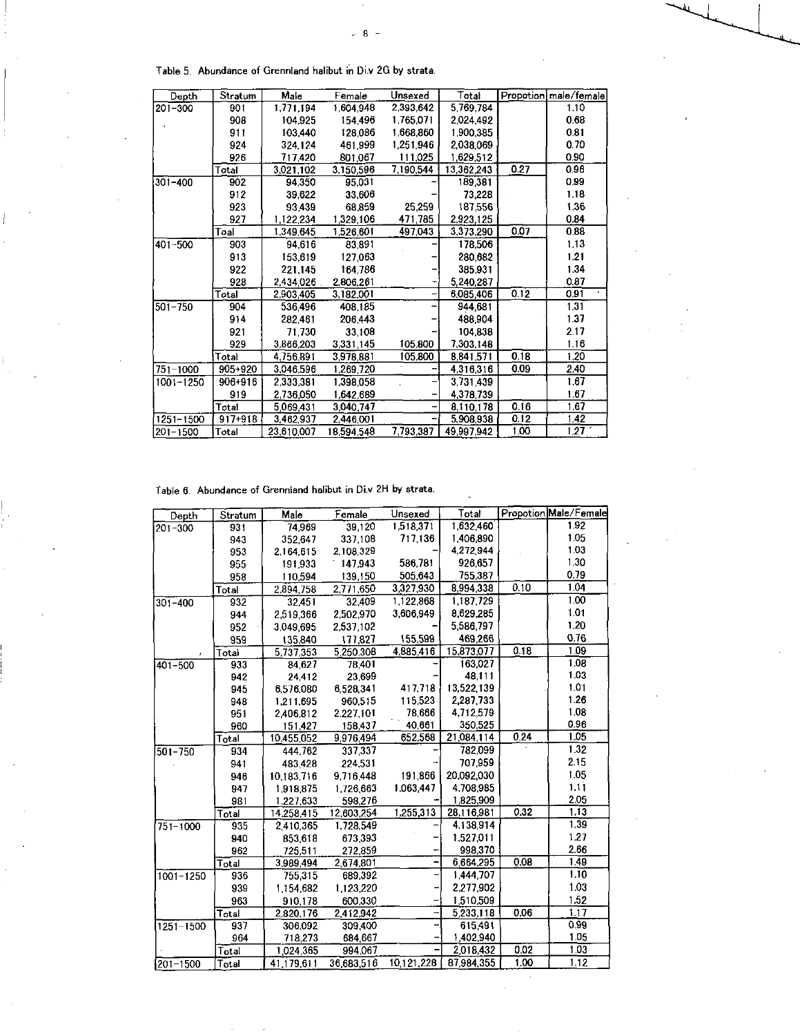Table 5. Abundance of Grennland halibut in Di.v 2G by strata.

| Depth        | Stratum     | Male       | Female     | Unsexed   | Total      |      | Propotion male/female |
|--------------|-------------|------------|------------|-----------|------------|------|-----------------------|
| $201 - 300$  | 901         | 1,771.194  | 1.604,948  | 2,393,642 | 5,769,784  |      | 1.10                  |
|              | 908         | 104.925    | 154,496    | 1,765,071 | 2,024,492  |      | 0.68                  |
|              | 911         | 103,440    | 128,086    | 1,668,860 | 1 900,385  |      | 0.81                  |
|              | 924         | 324.124    | 461.999    | 1,251,946 | 2,038,069  |      | 0.70                  |
|              | 926         | 717,420    | 801.067    | 111,025   | 1,629,512  |      | 0.90                  |
|              | Total       | 3,021,102  | 3,150,596  | 7,190,544 | 13,362,243 | 0.27 | 0.96                  |
| 301-400      | 902         | 94.350     | 95,031     |           | 189,381    |      | 0.99                  |
|              | 912         | 39.622     | 33,606     |           | 73,228     |      | 1.18                  |
|              | 923         | 93.439     | 68.859     | 25,259    | 187.556    |      | 1.36                  |
|              | 927         | 1.122.234  | 1.329.106  | 471,785   | 2.923.125  |      | 0.84                  |
|              | Toal        | 1,349,645  | 1,526,601  | 497,043   | 3,373,290  | 0.07 | 0.88                  |
| $401 - 500$  | 903         | 94.616     | 83,891     |           | 178,506    |      | 1.13                  |
|              | 913         | 153.619    | 127,063    |           | 280.682    |      | 1.21                  |
|              | 922         | 221.145    | 164.786    |           | 385.931    |      | 1.34                  |
|              | 928         | 2,434,026  | 2,806,261  |           | 5.240,287  |      | 0.87                  |
|              | Total       | 2,903,405  | 3,182,001  |           | 6,085,406  | 0.12 | 0.91                  |
| 501-750      | 904         | 536,496    | 408,185    |           | 944,681    |      | 1.31                  |
|              | 914         | 282.461    | 206,443    |           | 488,904    |      | 1.37                  |
|              | 921         | 71,730     | 33,108     |           | 104.838    |      | 2.17                  |
|              | 929         | 3,866,203  | 3,331,145  | 105,800   | 7,303,148  |      | 1.16                  |
|              | Total       | 4.756.891  | 3,978,881  | 105.800   | 8,841.571  | 0.18 | 1.20                  |
| $751 - 1000$ | 905+920     | 3,046,596  | 1,269,720  |           | 4,316,316  | 0.09 | 2.40                  |
| 1001-1250    | $906 + 916$ | 2,333,381  | 1.398.058  |           | 3.731.439  |      | 1.67                  |
|              | 919         | 2,736,050  | 1,642,689  |           | 4,378,739  |      | 1.67                  |
|              | Total       | 5,069,431  | 3,040,747  |           | 8.110.178  | 0.16 | 1.67                  |
| 1251-1500    | 917+918     | 3.462,937  | 2.446,001  |           | 5,908,938  | 0.12 | 1.42                  |
| $201 - 1500$ | Total       | 23.610.007 | 18.594.548 | 7,793,387 | 49.997.942 | 1.00 | 1.27                  |

 $-8-$ 

Table 6. Abundance of Grennland halibut in Di.v 2H by strata.

| Depth         | Stratum                   | Male       | Female     | Unsexed       | Total         |      | Propotion Male/Female |
|---------------|---------------------------|------------|------------|---------------|---------------|------|-----------------------|
| 201-300       | 931                       | 74,969     | 39,120     | 1,518,371     | 1.632,460     |      | 1.92                  |
|               | 943                       | 352.647    | 337.108    | 717.136       | 1406,890      |      | 1.05                  |
|               | 953                       | 2,164,615  | 2,108,329  |               | 4,272,944     |      | 1.03                  |
|               | 955                       | 191.933    | 147,943    | 586.781       | 926,657       |      | 1.30                  |
|               | 958                       | 110,594    | 139,150    | 505,643       | 755,387       |      | 0.79                  |
|               | Total                     | 2,894,758  | 2,771,650  | 3,327,930     | 8,994,338     | 0.10 | 1.04                  |
| $301 - 400$   | 932                       | 32.451     | 32.409     | 1,122,868     | 1.187,729     |      | 1.00                  |
|               | 944                       | 2,519,366  | 2.502,970  | 3.606.949     | 8.629.285     |      | 1.01                  |
|               | 952                       | 3,049,695  | 2,537,102  |               | 5.586,797     |      | 1.20                  |
|               | 959                       | 135,840    | 177.827    | 155,599       | 469,266       |      | 0.76                  |
|               | Total                     | 5 737,353  | 5.250.308  | 4885,416      | 15.873,077    | 0.18 | 1.09                  |
| $401 - 500$   | 933                       | 84,627     | 78,401     |               | 163.027       |      | 1.08                  |
|               | 942                       | 24,412     | 23.699     |               | 48,111        |      | 1.03                  |
|               | 945                       | 6,576,080  | 6528.341   | 417,718       | 13 522 139    |      | 1.01                  |
|               | 948                       | 1,211,695  | 960.515    | 115.523       | 2 2 8 7 7 3 3 |      | 126                   |
|               | 951                       | 2406.812   | 2.227.101  | 78,666        | 4.712,579     |      | 1.08                  |
|               | 960                       | 151,427    | 158,437    | 40,661        | 350,525       |      | 0.96                  |
|               | Total                     | 10.455,052 | 9976,494   | 652.568       | 21,084,114    | 0.24 | 1.05                  |
| 501-750       | 934                       | 444.762    | 337,337    |               | 782,099       |      | 1.32                  |
|               | 941                       | 483.428    | 224.531    |               | 707,959       |      | 2.15                  |
|               | 946                       | 10,183,716 | 9.716,448  | 191,866       | 20,092,030    |      | 1.05                  |
|               | 947                       | 1.918.875  | 1726,663   | 1.063,447     | 4.708.985     |      | 1.11                  |
|               | 981                       | 1.227.633  | 598,276    |               | 1,825,909     |      | 2.05                  |
|               | $\overline{\text{Total}}$ | 14.258,415 | 12.603,254 | 1.255,313     | 28.116,981    | 0.32 | 1,13                  |
| $751 - 1000$  | 935                       | 2410,365   | 1,728,549  |               | 4 138,914     |      | 1.39                  |
|               | 940                       | 853,618    | 673.393    |               | 1,527,011     |      | 1.27                  |
|               | 962                       | 725,511    | 272,859    |               | 998,370       |      | 2.66                  |
|               | Total                     | 3,989,494  | 2,674,801  |               | 6 664.295     | 0.08 | 1.49                  |
| $1001 - 1250$ | 936                       | 755,315    | 689.392    |               | 1444,707      |      | 1.10                  |
|               | 939                       | 1.154,682  | 1.123,220  |               | 2.277,902     |      | 1.03                  |
|               | 963                       | 910,178    | 600,330    |               | 1,510,509     |      | 1.52                  |
|               | Total                     | 2.820.176  | 2412,942   |               | 5 233,118     | 0.06 | 1.17                  |
| $1251 - 1500$ | 937                       | 306,092    | 309,400    |               | 615,491       |      | 0.99                  |
|               | 964                       | 718,273    | 684,667    |               | 1402,940      |      | 1.05                  |
|               | Total                     | 1024,365   | 994,067    |               | 2018,432      | 0.02 | 1.03                  |
| 201-1500      | Total                     | 41 179,611 | 36 683,516 | 10 1 21 2 2 8 | 87 984,355    | 1.00 | 1.12                  |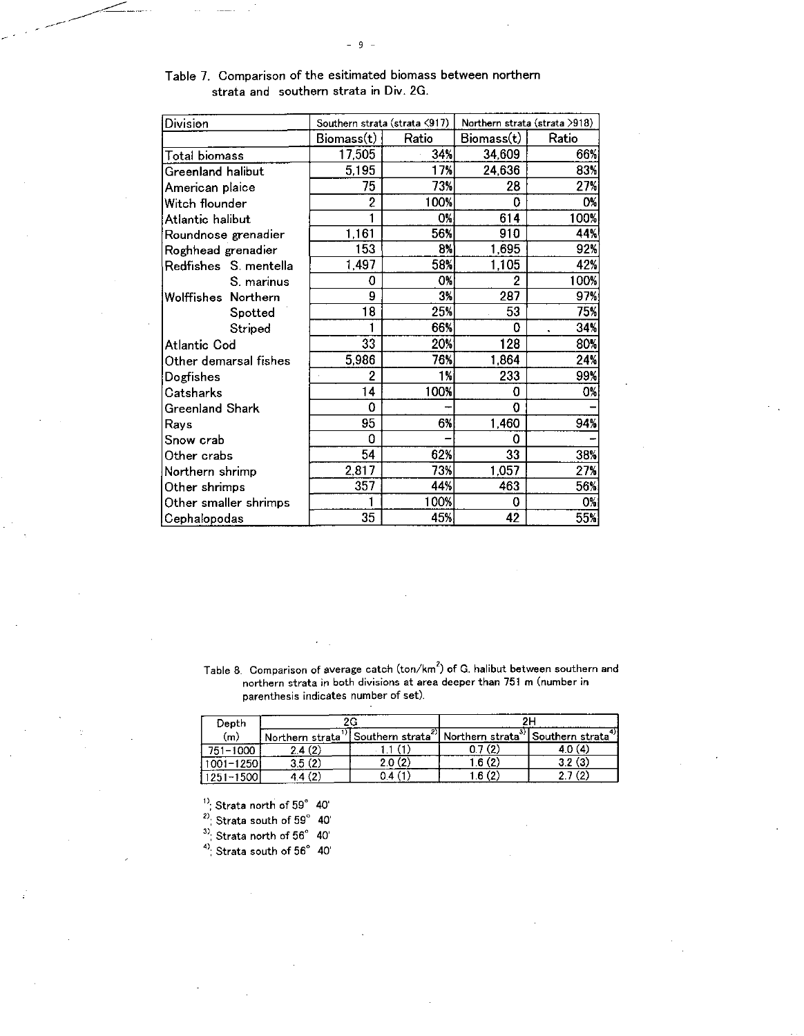| Division               |            | Southern strata (strata <917) |            | Northern strata (strata >918) |
|------------------------|------------|-------------------------------|------------|-------------------------------|
|                        | Biomass(t) | Ratio                         | Biomass(t) | Ratio                         |
| <b>Total biomass</b>   | 17,505     | 34%                           | 34,609     | 66%                           |
| Greenland halibut      | 5,195      | 17%                           | 24,636     | 83%                           |
| American plaice        | 75         | 73%                           | 28         | 27%                           |
| Witch flounder         | 2          | 100%                          | 0          | 0%                            |
| Atlantic halibut       |            | 0%                            | 614        | 100%                          |
| Roundnose grenadier    | 1,161      | 56%                           | 910        | 44%                           |
| Roghhead grenadier     | 153        | 8%                            | 1,695      | 92%                           |
| Redfishes S. mentella  | 1,497      | 58%                           | 1,105      | 42%                           |
| S. marinus             | 0          | 0%                            | 2          | 100%                          |
| Wolffishes Northern    | 9          | 3%                            | 287        | 97%                           |
| Spotted                | 18         | 25%                           | 53         | 75%                           |
| Striped                |            | 66%                           | 0          | 34%<br>۰                      |
| Atlantic Cod           | 33         | 20%                           | 128        | 80%                           |
| Other demarsal fishes  | 5,986      | 76%                           | 1,864      | 24%                           |
| Dogfishes              | 2          | 1%                            | 233        | 99%                           |
| Catsharks              | 14         | 100%                          | 0          | 0%                            |
| <b>Greenland Shark</b> | 0          |                               | 0          |                               |
| Ravs                   | 95         | 6%                            | 1,460      | 94%                           |
| Snow crab              | 0          |                               | Ω          |                               |
| Other crabs            | 54         | 62%                           | 33         | 38%                           |
| Northern shrimp        | 2,817      | 73%                           | 1,057      | 27%                           |
| Other shrimps          | 357        | 44%                           | 463        | 56%                           |
| Other smaller shrimps  |            | 100%                          | 0          | 0%                            |
| Cephalopodas           | 35         | 45%                           | 42         | 55%                           |

Table 7. Comparison of the esitimated biomass between northern strata and southern strata in Div. 2G.

Table 8. Comparison of average catch (ton/km<sup>2</sup>) of G. halibut between southern and northern strata in both divisions at area deeper than 751 m (number in parenthesis indicates number of set).

| Depth        | ንጦ              |                                                    | nı.  |                              |
|--------------|-----------------|----------------------------------------------------|------|------------------------------|
| (m)          | Northern strata | "  Southern strata <sup>2</sup>   Northern strata" |      | Southern strata <sup>-</sup> |
| 751-1000     | 2.4 (2)         |                                                    |      |                              |
| $001 - 1250$ |                 | 2.0 (2                                             | 6(2) | 3.2(3)                       |
| 1500         |                 |                                                    | .6.  |                              |

 $\rm ^{11}$ ; Strata north of  $\rm 59^\circ$  40'

 $^{2)}$ ; Strata south of  $59^{\circ}$  40'

 $^{3)}$ ; Strata north of  $56^{\circ}$  40'

 $4$ <sup>4)</sup>; Strata south of  $56^\circ$  40'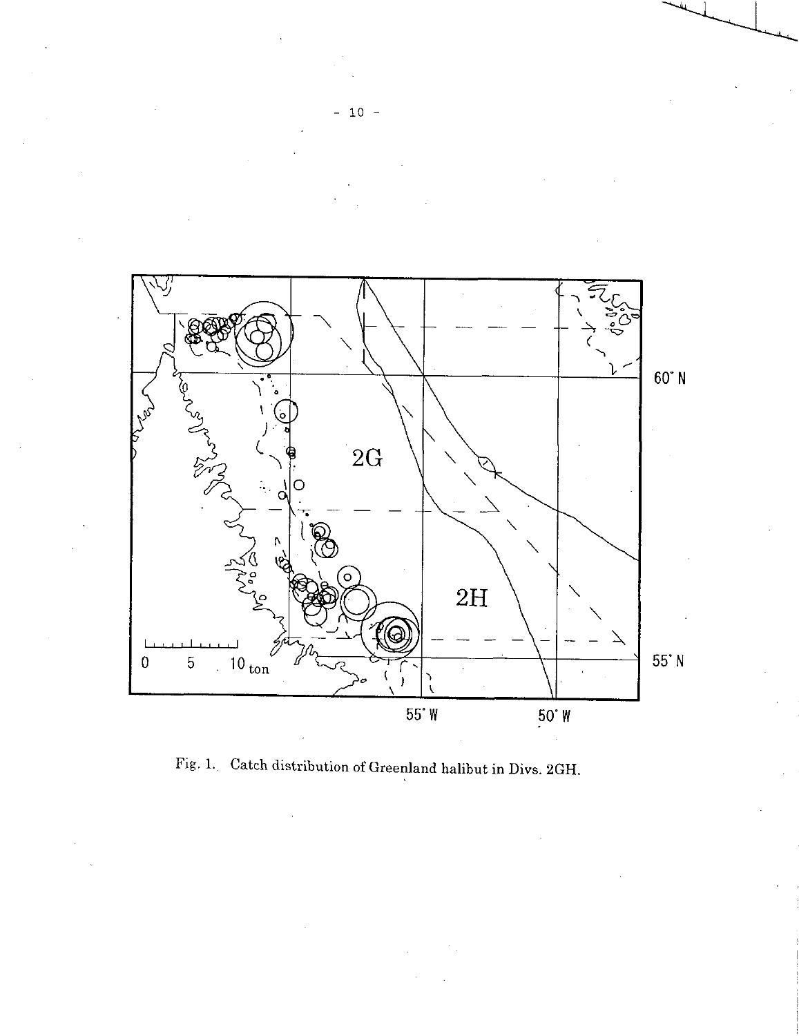

Fig. 1. Catch distribution of Greenland halibut in Divs. 2GH.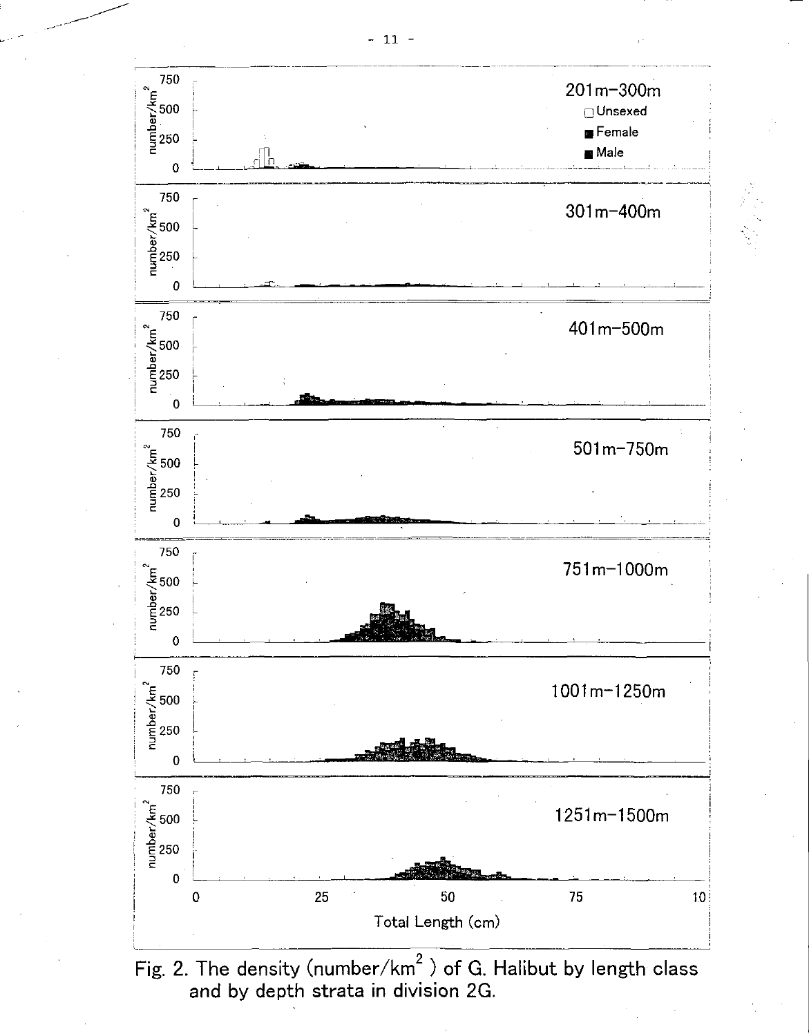

Fig. 2. The density (number/ $km^2$ ) of G. Halibut by length class and by depth strata in division 2G.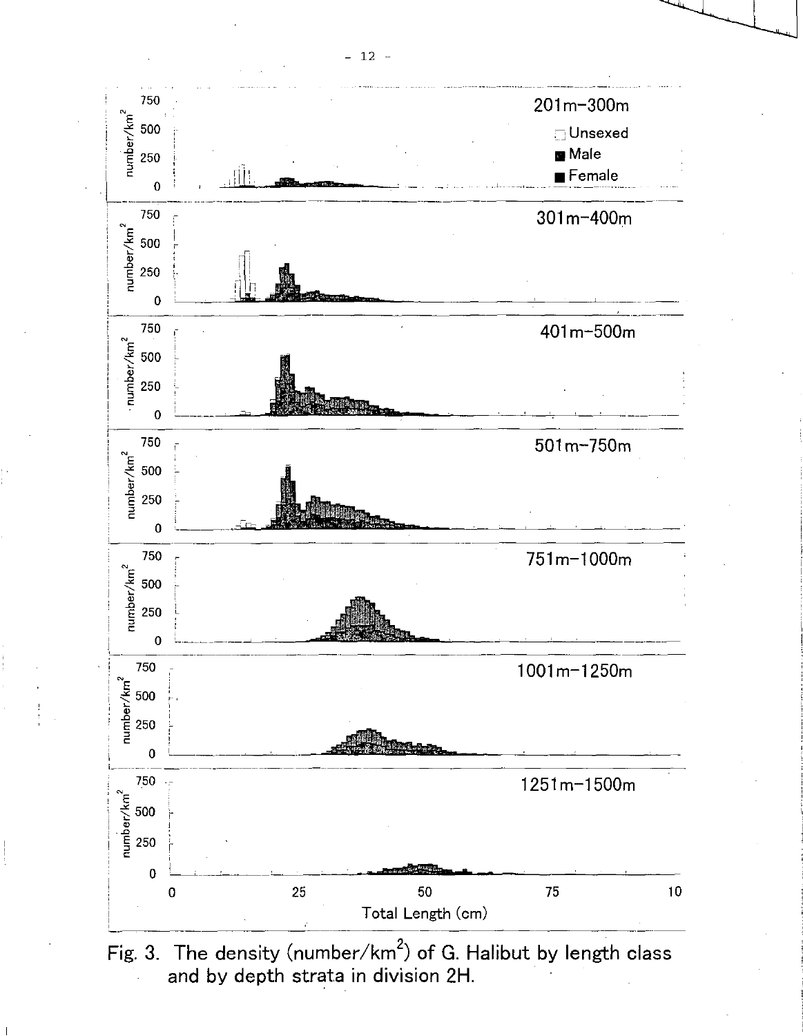

Fig. 3. The density (number/ $km^2$ ) of G. Halibut by length class and by depth strata in division 2H.

- 12 -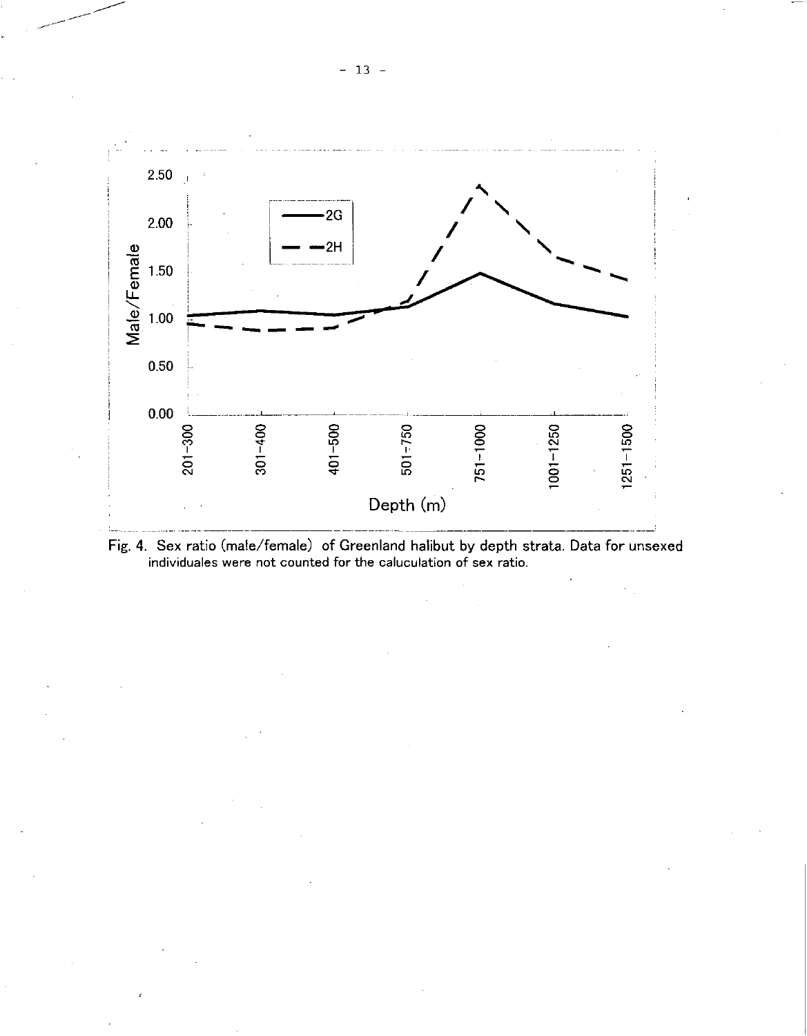

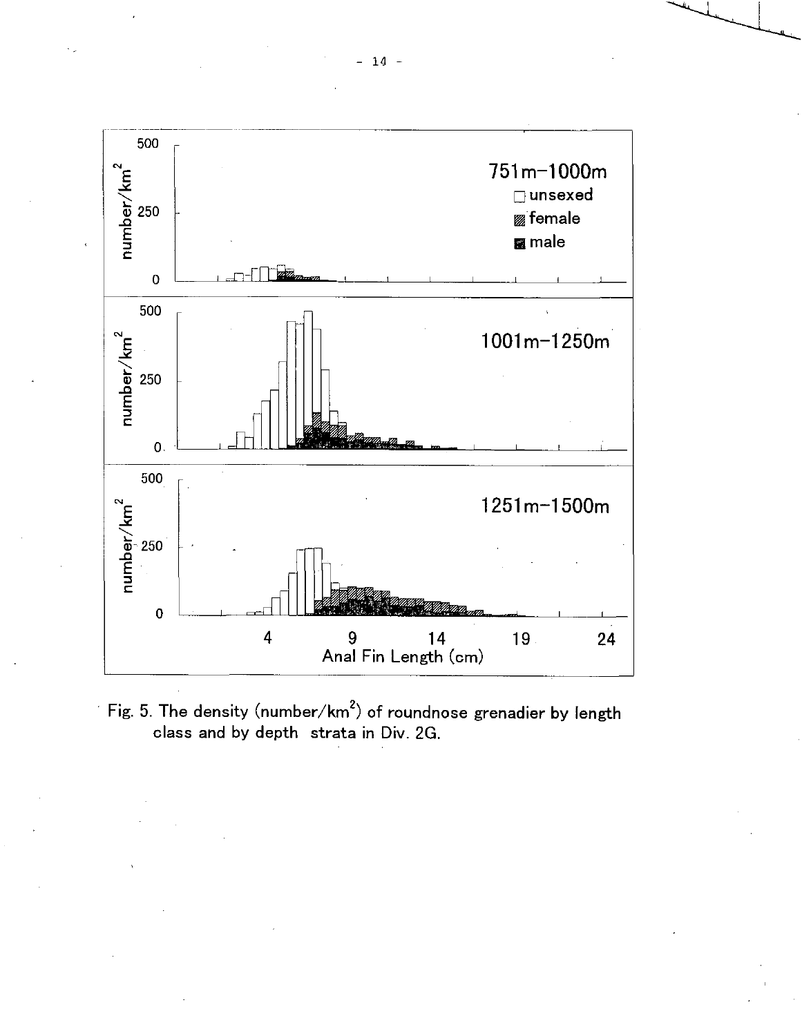

Fig. 5. The density (number/ $km^2$ ) of roundnose grenadier by length class and by depth strata in Div. 2G.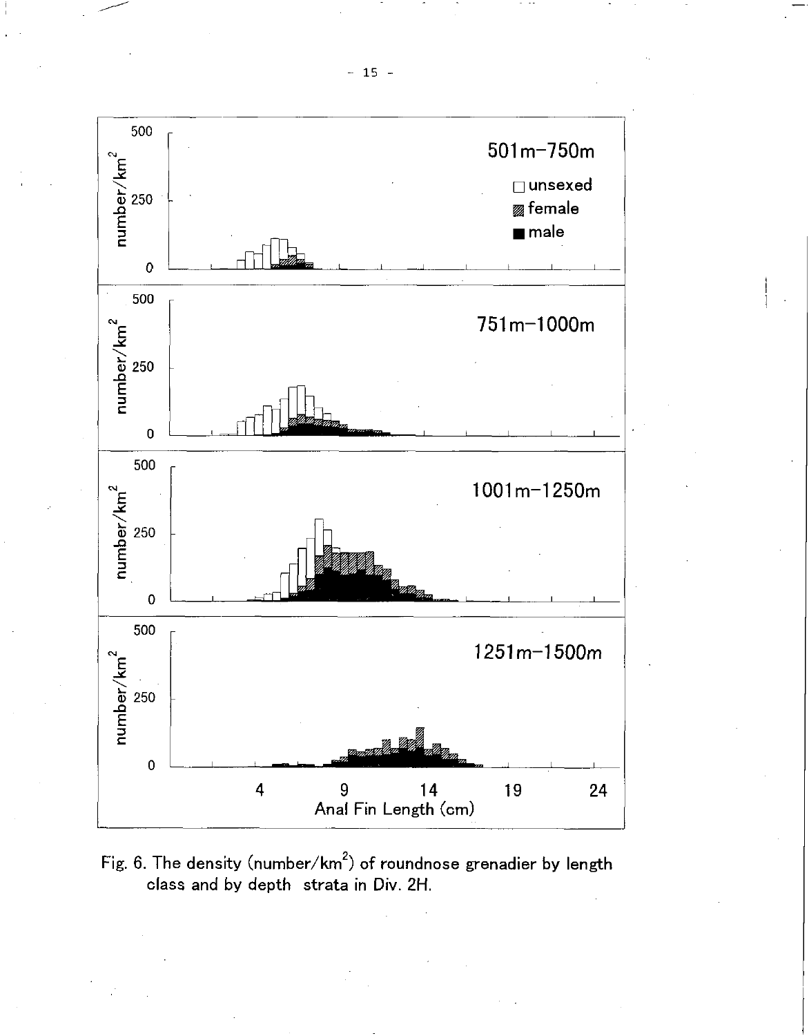

Fig. 6. The density (number/ $km^2$ ) of roundnose grenadier by length class and by depth strata in Div. 2H.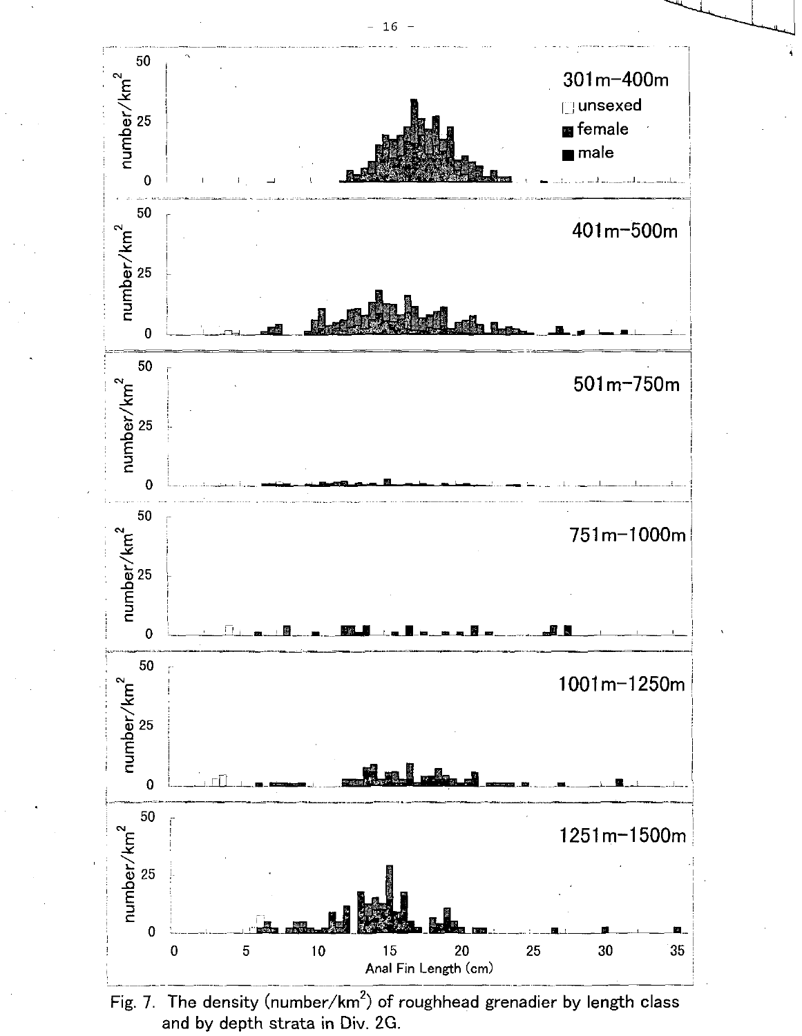

Fig. 7. The density (number/km<sup>2</sup>) of roughhead grenadier by length class and by depth strata in Div. 2G.

16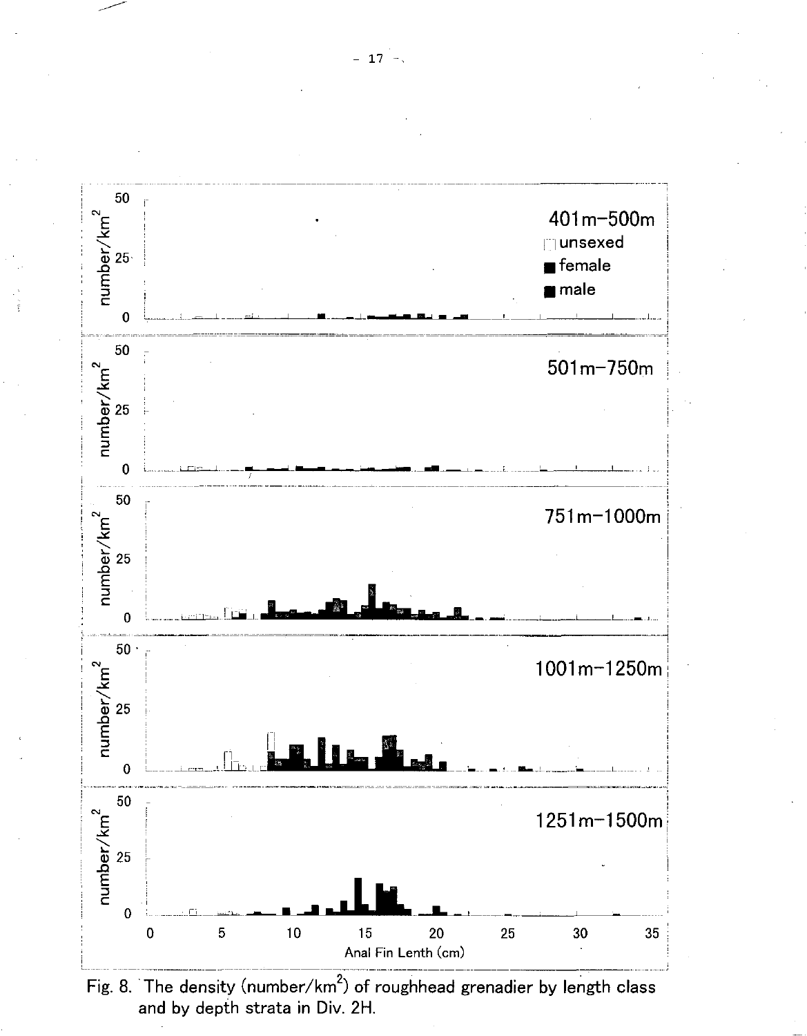



 $-17 -$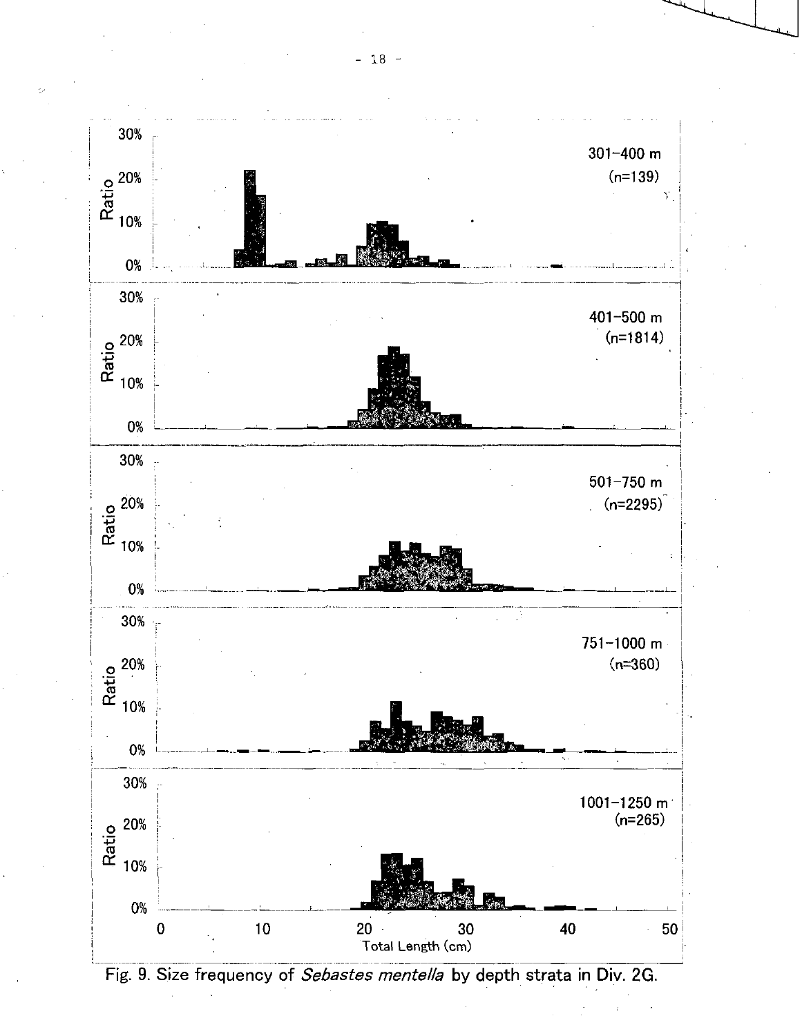

 $- 18 -$